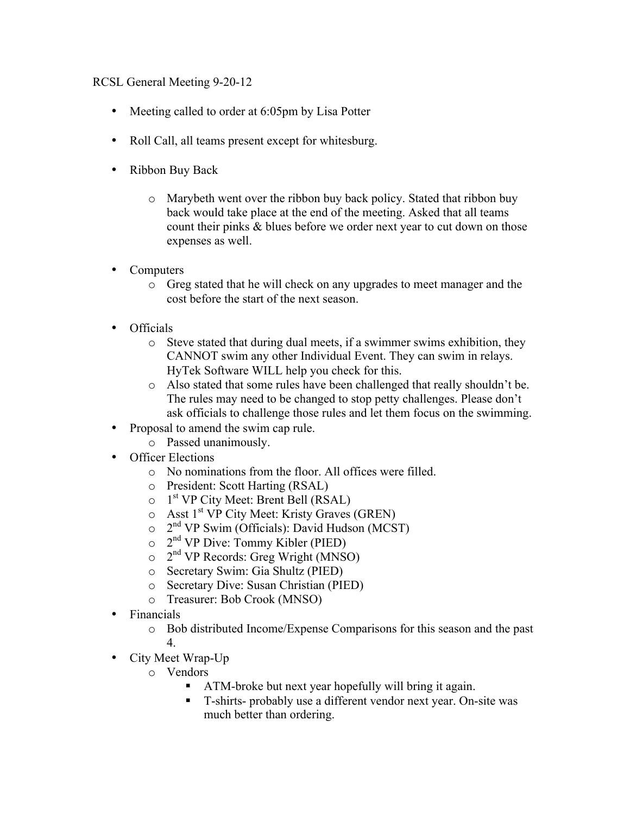## RCSL General Meeting 9-20-12

- Meeting called to order at 6:05pm by Lisa Potter
- Roll Call, all teams present except for whitesburg.
- Ribbon Buy Back
	- o Marybeth went over the ribbon buy back policy. Stated that ribbon buy back would take place at the end of the meeting. Asked that all teams count their pinks & blues before we order next year to cut down on those expenses as well.
- Computers
	- o Greg stated that he will check on any upgrades to meet manager and the cost before the start of the next season.
- Officials
	- o Steve stated that during dual meets, if a swimmer swims exhibition, they CANNOT swim any other Individual Event. They can swim in relays. HyTek Software WILL help you check for this.
	- o Also stated that some rules have been challenged that really shouldn't be. The rules may need to be changed to stop petty challenges. Please don't ask officials to challenge those rules and let them focus on the swimming.
- Proposal to amend the swim cap rule.
	- o Passed unanimously.
- Officer Elections
	- o No nominations from the floor. All offices were filled.
	- o President: Scott Harting (RSAL)
	- $\circ$  1<sup>st</sup> VP City Meet: Brent Bell (RSAL)
	- $\circ$  Asst 1<sup>st</sup> VP City Meet: Kristy Graves (GREN)
	- $\circ$  2<sup>nd</sup> VP Swim (Officials): David Hudson (MCST)
	- $\circ$  2<sup>nd</sup> VP Dive: Tommy Kibler (PIED)
	- $\circ$  2<sup>nd</sup> VP Records: Greg Wright (MNSO)
	- o Secretary Swim: Gia Shultz (PIED)
	- o Secretary Dive: Susan Christian (PIED)
	- o Treasurer: Bob Crook (MNSO)
- Financials
	- o Bob distributed Income/Expense Comparisons for this season and the past 4.
- City Meet Wrap-Up
	- o Vendors
		- ATM-broke but next year hopefully will bring it again.
		- T-shirts- probably use a different vendor next year. On-site was much better than ordering.